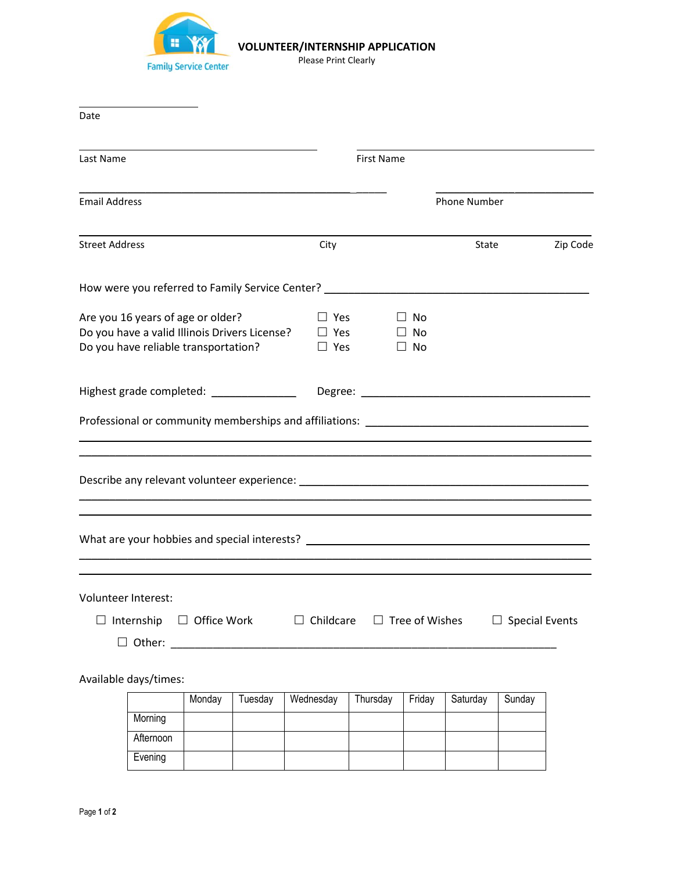

## **VOLUNTEER/INTERNSHIP APPLICATION**

Please Print Clearly

| Date                                                                                                                       |                       |        |                    |                  |                                        |                       |                                     |                                                                                                                                                                                                                                |                       |          |  |
|----------------------------------------------------------------------------------------------------------------------------|-----------------------|--------|--------------------|------------------|----------------------------------------|-----------------------|-------------------------------------|--------------------------------------------------------------------------------------------------------------------------------------------------------------------------------------------------------------------------------|-----------------------|----------|--|
| Last Name                                                                                                                  |                       |        |                    |                  |                                        | <b>First Name</b>     |                                     |                                                                                                                                                                                                                                |                       |          |  |
| <b>Email Address</b>                                                                                                       |                       |        |                    |                  |                                        |                       |                                     | Phone Number                                                                                                                                                                                                                   |                       |          |  |
| <b>Street Address</b>                                                                                                      |                       |        |                    | City             |                                        |                       |                                     | State                                                                                                                                                                                                                          |                       | Zip Code |  |
|                                                                                                                            |                       |        |                    |                  |                                        |                       |                                     | How were you referred to Family Service Center? ________________________________                                                                                                                                               |                       |          |  |
| Are you 16 years of age or older?<br>Do you have a valid Illinois Drivers License?<br>Do you have reliable transportation? |                       |        |                    |                  | $\Box$ Yes<br>$\Box$ Yes<br>$\Box$ Yes |                       | $\Box$ No<br>$\Box$ No<br>$\Box$ No |                                                                                                                                                                                                                                |                       |          |  |
| Highest grade completed: ______________                                                                                    |                       |        |                    |                  |                                        |                       |                                     |                                                                                                                                                                                                                                |                       |          |  |
|                                                                                                                            |                       |        |                    |                  |                                        |                       |                                     |                                                                                                                                                                                                                                |                       |          |  |
|                                                                                                                            |                       |        |                    |                  |                                        |                       |                                     |                                                                                                                                                                                                                                |                       |          |  |
|                                                                                                                            |                       |        |                    |                  |                                        |                       |                                     | What are your hobbies and special interests? The contract of the contract of the contract of the contract of the contract of the contract of the contract of the contract of the contract of the contract of the contract of t |                       |          |  |
| Volunteer Interest:<br>Ш                                                                                                   | Internship            |        | $\Box$ Office Work | $\Box$ Childcare |                                        | $\Box$ Tree of Wishes |                                     |                                                                                                                                                                                                                                | $\Box$ Special Events |          |  |
|                                                                                                                            | Available days/times: |        |                    |                  |                                        |                       |                                     |                                                                                                                                                                                                                                |                       |          |  |
|                                                                                                                            | Morning               | Monday | Tuesday            | Wednesday        |                                        | Thursday              | Friday                              | Saturday                                                                                                                                                                                                                       | Sunday                |          |  |
|                                                                                                                            | Afternoon             |        |                    |                  |                                        |                       |                                     |                                                                                                                                                                                                                                |                       |          |  |

Evening